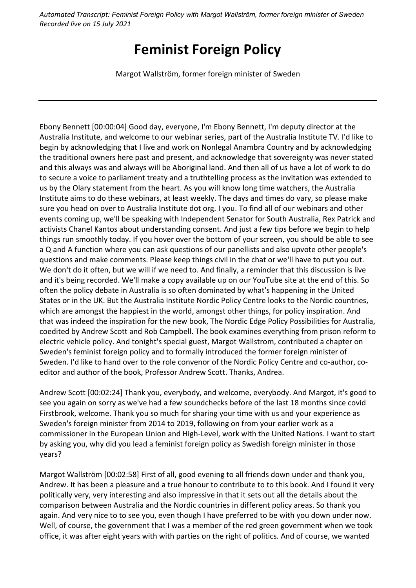# **Feminist Foreign Policy**

Margot Wallström, former foreign minister of Sweden

Ebony Bennett [00:00:04] Good day, everyone, I'm Ebony Bennett, I'm deputy director at the Australia Institute, and welcome to our webinar series, part of the Australia Institute TV. I'd like to begin by acknowledging that I live and work on Nonlegal Anambra Country and by acknowledging the traditional owners here past and present, and acknowledge that sovereignty was never stated and this always was and always will be Aboriginal land. And then all of us have a lot of work to do to secure a voice to parliament treaty and a truthtelling process as the invitation was extended to us by the Olary statement from the heart. As you will know long time watchers, the Australia Institute aims to do these webinars, at least weekly. The days and times do vary, so please make sure you head on over to Australia Institute dot org. I you. To find all of our webinars and other events coming up, we'll be speaking with Independent Senator for South Australia, Rex Patrick and activists Chanel Kantos about understanding consent. And just a few tips before we begin to help things run smoothly today. If you hover over the bottom of your screen, you should be able to see a Q and A function where you can ask questions of our panellists and also upvote other people's questions and make comments. Please keep things civil in the chat or we'll have to put you out. We don't do it often, but we will if we need to. And finally, a reminder that this discussion is live and it's being recorded. We'll make a copy available up on our YouTube site at the end of this. So often the policy debate in Australia is so often dominated by what's happening in the United States or in the UK. But the Australia Institute Nordic Policy Centre looks to the Nordic countries, which are amongst the happiest in the world, amongst other things, for policy inspiration. And that was indeed the inspiration for the new book, The Nordic Edge Policy Possibilities for Australia, coedited by Andrew Scott and Rob Campbell. The book examines everything from prison reform to electric vehicle policy. And tonight's special guest, Margot Wallstrom, contributed a chapter on Sweden's feminist foreign policy and to formally introduced the former foreign minister of Sweden. I'd like to hand over to the role convenor of the Nordic Policy Centre and co-author, coeditor and author of the book, Professor Andrew Scott. Thanks, Andrea.

Andrew Scott [00:02:24] Thank you, everybody, and welcome, everybody. And Margot, it's good to see you again on sorry as we've had a few soundchecks before of the last 18 months since covid Firstbrook, welcome. Thank you so much for sharing your time with us and your experience as Sweden's foreign minister from 2014 to 2019, following on from your earlier work as a commissioner in the European Union and High-Level, work with the United Nations. I want to start by asking you, why did you lead a feminist foreign policy as Swedish foreign minister in those years?

Margot Wallström [00:02:58] First of all, good evening to all friends down under and thank you, Andrew. It has been a pleasure and a true honour to contribute to to this book. And I found it very politically very, very interesting and also impressive in that it sets out all the details about the comparison between Australia and the Nordic countries in different policy areas. So thank you again. And very nice to to see you, even though I have preferred to be with you down under now. Well, of course, the government that I was a member of the red green government when we took office, it was after eight years with with parties on the right of politics. And of course, we wanted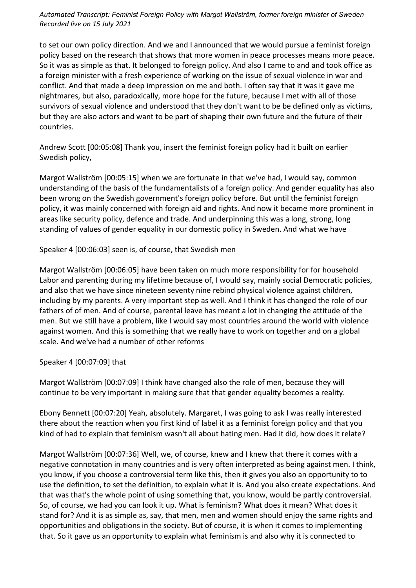to set our own policy direction. And we and I announced that we would pursue a feminist foreign policy based on the research that shows that more women in peace processes means more peace. So it was as simple as that. It belonged to foreign policy. And also I came to and and took office as a foreign minister with a fresh experience of working on the issue of sexual violence in war and conflict. And that made a deep impression on me and both. I often say that it was it gave me nightmares, but also, paradoxically, more hope for the future, because I met with all of those survivors of sexual violence and understood that they don't want to be be defined only as victims, but they are also actors and want to be part of shaping their own future and the future of their countries.

Andrew Scott [00:05:08] Thank you, insert the feminist foreign policy had it built on earlier Swedish policy,

Margot Wallström [00:05:15] when we are fortunate in that we've had, I would say, common understanding of the basis of the fundamentalists of a foreign policy. And gender equality has also been wrong on the Swedish government's foreign policy before. But until the feminist foreign policy, it was mainly concerned with foreign aid and rights. And now it became more prominent in areas like security policy, defence and trade. And underpinning this was a long, strong, long standing of values of gender equality in our domestic policy in Sweden. And what we have

Speaker 4 [00:06:03] seen is, of course, that Swedish men

Margot Wallström [00:06:05] have been taken on much more responsibility for for household Labor and parenting during my lifetime because of, I would say, mainly social Democratic policies, and also that we have since nineteen seventy nine rebind physical violence against children, including by my parents. A very important step as well. And I think it has changed the role of our fathers of of men. And of course, parental leave has meant a lot in changing the attitude of the men. But we still have a problem, like I would say most countries around the world with violence against women. And this is something that we really have to work on together and on a global scale. And we've had a number of other reforms

Speaker 4 [00:07:09] that

Margot Wallström [00:07:09] I think have changed also the role of men, because they will continue to be very important in making sure that that gender equality becomes a reality.

Ebony Bennett [00:07:20] Yeah, absolutely. Margaret, I was going to ask I was really interested there about the reaction when you first kind of label it as a feminist foreign policy and that you kind of had to explain that feminism wasn't all about hating men. Had it did, how does it relate?

Margot Wallström [00:07:36] Well, we, of course, knew and I knew that there it comes with a negative connotation in many countries and is very often interpreted as being against men. I think, you know, if you choose a controversial term like this, then it gives you also an opportunity to to use the definition, to set the definition, to explain what it is. And you also create expectations. And that was that's the whole point of using something that, you know, would be partly controversial. So, of course, we had you can look it up. What is feminism? What does it mean? What does it stand for? And it is as simple as, say, that men, men and women should enjoy the same rights and opportunities and obligations in the society. But of course, it is when it comes to implementing that. So it gave us an opportunity to explain what feminism is and also why it is connected to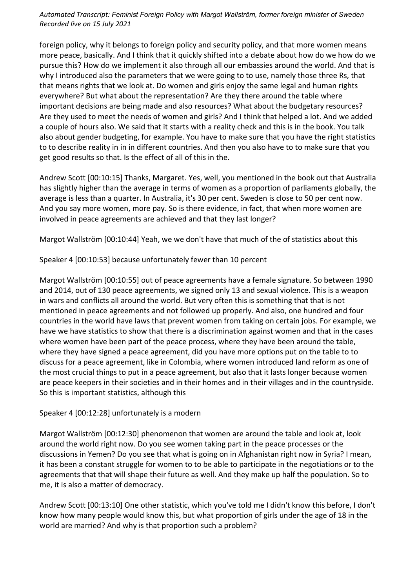foreign policy, why it belongs to foreign policy and security policy, and that more women means more peace, basically. And I think that it quickly shifted into a debate about how do we how do we pursue this? How do we implement it also through all our embassies around the world. And that is why I introduced also the parameters that we were going to to use, namely those three Rs, that that means rights that we look at. Do women and girls enjoy the same legal and human rights everywhere? But what about the representation? Are they there around the table where important decisions are being made and also resources? What about the budgetary resources? Are they used to meet the needs of women and girls? And I think that helped a lot. And we added a couple of hours also. We said that it starts with a reality check and this is in the book. You talk also about gender budgeting, for example. You have to make sure that you have the right statistics to to describe reality in in in different countries. And then you also have to to make sure that you get good results so that. Is the effect of all of this in the.

Andrew Scott [00:10:15] Thanks, Margaret. Yes, well, you mentioned in the book out that Australia has slightly higher than the average in terms of women as a proportion of parliaments globally, the average is less than a quarter. In Australia, it's 30 per cent. Sweden is close to 50 per cent now. And you say more women, more pay. So is there evidence, in fact, that when more women are involved in peace agreements are achieved and that they last longer?

Margot Wallström [00:10:44] Yeah, we we don't have that much of the of statistics about this

Speaker 4 [00:10:53] because unfortunately fewer than 10 percent

Margot Wallström [00:10:55] out of peace agreements have a female signature. So between 1990 and 2014, out of 130 peace agreements, we signed only 13 and sexual violence. This is a weapon in wars and conflicts all around the world. But very often this is something that that is not mentioned in peace agreements and not followed up properly. And also, one hundred and four countries in the world have laws that prevent women from taking on certain jobs. For example, we have we have statistics to show that there is a discrimination against women and that in the cases where women have been part of the peace process, where they have been around the table, where they have signed a peace agreement, did you have more options put on the table to to discuss for a peace agreement, like in Colombia, where women introduced land reform as one of the most crucial things to put in a peace agreement, but also that it lasts longer because women are peace keepers in their societies and in their homes and in their villages and in the countryside. So this is important statistics, although this

Speaker 4 [00:12:28] unfortunately is a modern

Margot Wallström [00:12:30] phenomenon that women are around the table and look at, look around the world right now. Do you see women taking part in the peace processes or the discussions in Yemen? Do you see that what is going on in Afghanistan right now in Syria? I mean, it has been a constant struggle for women to to be able to participate in the negotiations or to the agreements that that will shape their future as well. And they make up half the population. So to me, it is also a matter of democracy.

Andrew Scott [00:13:10] One other statistic, which you've told me I didn't know this before, I don't know how many people would know this, but what proportion of girls under the age of 18 in the world are married? And why is that proportion such a problem?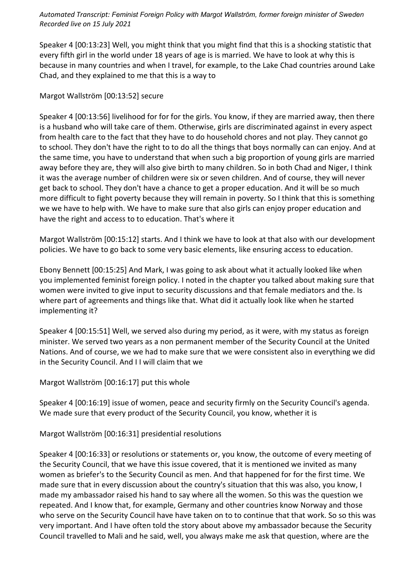Speaker 4 [00:13:23] Well, you might think that you might find that this is a shocking statistic that every fifth girl in the world under 18 years of age is is married. We have to look at why this is because in many countries and when I travel, for example, to the Lake Chad countries around Lake Chad, and they explained to me that this is a way to

Margot Wallström [00:13:52] secure

Speaker 4 [00:13:56] livelihood for for for the girls. You know, if they are married away, then there is a husband who will take care of them. Otherwise, girls are discriminated against in every aspect from health care to the fact that they have to do household chores and not play. They cannot go to school. They don't have the right to to do all the things that boys normally can can enjoy. And at the same time, you have to understand that when such a big proportion of young girls are married away before they are, they will also give birth to many children. So in both Chad and Niger, I think it was the average number of children were six or seven children. And of course, they will never get back to school. They don't have a chance to get a proper education. And it will be so much more difficult to fight poverty because they will remain in poverty. So I think that this is something we we have to help with. We have to make sure that also girls can enjoy proper education and have the right and access to to education. That's where it

Margot Wallström [00:15:12] starts. And I think we have to look at that also with our development policies. We have to go back to some very basic elements, like ensuring access to education.

Ebony Bennett [00:15:25] And Mark, I was going to ask about what it actually looked like when you implemented feminist foreign policy. I noted in the chapter you talked about making sure that women were invited to give input to security discussions and that female mediators and the. Is where part of agreements and things like that. What did it actually look like when he started implementing it?

Speaker 4 [00:15:51] Well, we served also during my period, as it were, with my status as foreign minister. We served two years as a non permanent member of the Security Council at the United Nations. And of course, we we had to make sure that we were consistent also in everything we did in the Security Council. And I I will claim that we

Margot Wallström [00:16:17] put this whole

Speaker 4 [00:16:19] issue of women, peace and security firmly on the Security Council's agenda. We made sure that every product of the Security Council, you know, whether it is

Margot Wallström [00:16:31] presidential resolutions

Speaker 4 [00:16:33] or resolutions or statements or, you know, the outcome of every meeting of the Security Council, that we have this issue covered, that it is mentioned we invited as many women as briefer's to the Security Council as men. And that happened for for the first time. We made sure that in every discussion about the country's situation that this was also, you know, I made my ambassador raised his hand to say where all the women. So this was the question we repeated. And I know that, for example, Germany and other countries know Norway and those who serve on the Security Council have have taken on to to continue that that work. So so this was very important. And I have often told the story about above my ambassador because the Security Council travelled to Mali and he said, well, you always make me ask that question, where are the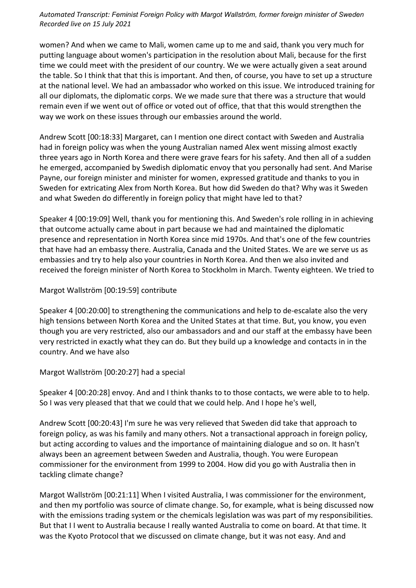women? And when we came to Mali, women came up to me and said, thank you very much for putting language about women's participation in the resolution about Mali, because for the first time we could meet with the president of our country. We we were actually given a seat around the table. So I think that that this is important. And then, of course, you have to set up a structure at the national level. We had an ambassador who worked on this issue. We introduced training for all our diplomats, the diplomatic corps. We we made sure that there was a structure that would remain even if we went out of office or voted out of office, that that this would strengthen the way we work on these issues through our embassies around the world.

Andrew Scott [00:18:33] Margaret, can I mention one direct contact with Sweden and Australia had in foreign policy was when the young Australian named Alex went missing almost exactly three years ago in North Korea and there were grave fears for his safety. And then all of a sudden he emerged, accompanied by Swedish diplomatic envoy that you personally had sent. And Marise Payne, our foreign minister and minister for women, expressed gratitude and thanks to you in Sweden for extricating Alex from North Korea. But how did Sweden do that? Why was it Sweden and what Sweden do differently in foreign policy that might have led to that?

Speaker 4 [00:19:09] Well, thank you for mentioning this. And Sweden's role rolling in in achieving that outcome actually came about in part because we had and maintained the diplomatic presence and representation in North Korea since mid 1970s. And that's one of the few countries that have had an embassy there. Australia, Canada and the United States. We are we serve us as embassies and try to help also your countries in North Korea. And then we also invited and received the foreign minister of North Korea to Stockholm in March. Twenty eighteen. We tried to

### Margot Wallström [00:19:59] contribute

Speaker 4 [00:20:00] to strengthening the communications and help to de-escalate also the very high tensions between North Korea and the United States at that time. But, you know, you even though you are very restricted, also our ambassadors and and our staff at the embassy have been very restricted in exactly what they can do. But they build up a knowledge and contacts in in the country. And we have also

#### Margot Wallström [00:20:27] had a special

Speaker 4 [00:20:28] envoy. And and I think thanks to to those contacts, we were able to to help. So I was very pleased that that we could that we could help. And I hope he's well,

Andrew Scott [00:20:43] I'm sure he was very relieved that Sweden did take that approach to foreign policy, as was his family and many others. Not a transactional approach in foreign policy, but acting according to values and the importance of maintaining dialogue and so on. It hasn't always been an agreement between Sweden and Australia, though. You were European commissioner for the environment from 1999 to 2004. How did you go with Australia then in tackling climate change?

Margot Wallström [00:21:11] When I visited Australia, I was commissioner for the environment, and then my portfolio was source of climate change. So, for example, what is being discussed now with the emissions trading system or the chemicals legislation was was part of my responsibilities. But that I I went to Australia because I really wanted Australia to come on board. At that time. It was the Kyoto Protocol that we discussed on climate change, but it was not easy. And and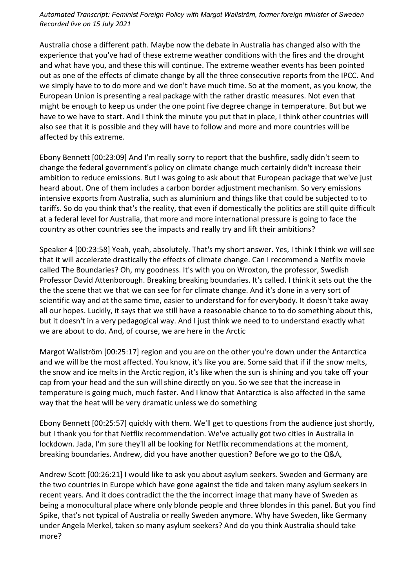Australia chose a different path. Maybe now the debate in Australia has changed also with the experience that you've had of these extreme weather conditions with the fires and the drought and what have you, and these this will continue. The extreme weather events has been pointed out as one of the effects of climate change by all the three consecutive reports from the IPCC. And we simply have to to do more and we don't have much time. So at the moment, as you know, the European Union is presenting a real package with the rather drastic measures. Not even that might be enough to keep us under the one point five degree change in temperature. But but we have to we have to start. And I think the minute you put that in place, I think other countries will also see that it is possible and they will have to follow and more and more countries will be affected by this extreme.

Ebony Bennett [00:23:09] And I'm really sorry to report that the bushfire, sadly didn't seem to change the federal government's policy on climate change much certainly didn't increase their ambition to reduce emissions. But I was going to ask about that European package that we've just heard about. One of them includes a carbon border adjustment mechanism. So very emissions intensive exports from Australia, such as aluminium and things like that could be subjected to to tariffs. So do you think that's the reality, that even if domestically the politics are still quite difficult at a federal level for Australia, that more and more international pressure is going to face the country as other countries see the impacts and really try and lift their ambitions?

Speaker 4 [00:23:58] Yeah, yeah, absolutely. That's my short answer. Yes, I think I think we will see that it will accelerate drastically the effects of climate change. Can I recommend a Netflix movie called The Boundaries? Oh, my goodness. It's with you on Wroxton, the professor, Swedish Professor David Attenborough. Breaking breaking boundaries. It's called. I think it sets out the the the the scene that we that we can see for for climate change. And it's done in a very sort of scientific way and at the same time, easier to understand for for everybody. It doesn't take away all our hopes. Luckily, it says that we still have a reasonable chance to to do something about this, but it doesn't in a very pedagogical way. And I just think we need to to understand exactly what we are about to do. And, of course, we are here in the Arctic

Margot Wallström [00:25:17] region and you are on the other you're down under the Antarctica and we will be the most affected. You know, it's like you are. Some said that if if the snow melts, the snow and ice melts in the Arctic region, it's like when the sun is shining and you take off your cap from your head and the sun will shine directly on you. So we see that the increase in temperature is going much, much faster. And I know that Antarctica is also affected in the same way that the heat will be very dramatic unless we do something

Ebony Bennett [00:25:57] quickly with them. We'll get to questions from the audience just shortly, but I thank you for that Netflix recommendation. We've actually got two cities in Australia in lockdown. Jada, I'm sure they'll all be looking for Netflix recommendations at the moment, breaking boundaries. Andrew, did you have another question? Before we go to the Q&A,

Andrew Scott [00:26:21] I would like to ask you about asylum seekers. Sweden and Germany are the two countries in Europe which have gone against the tide and taken many asylum seekers in recent years. And it does contradict the the the incorrect image that many have of Sweden as being a monocultural place where only blonde people and three blondes in this panel. But you find Spike, that's not typical of Australia or really Sweden anymore. Why have Sweden, like Germany under Angela Merkel, taken so many asylum seekers? And do you think Australia should take more?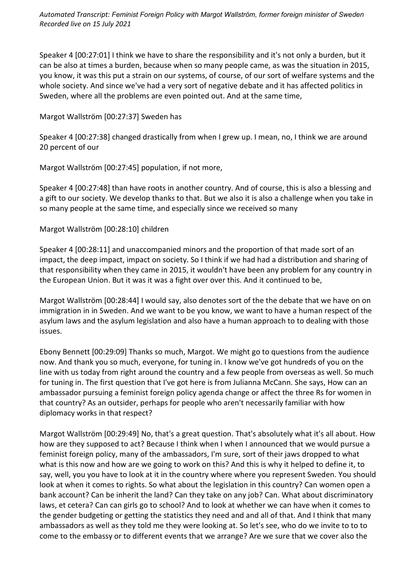Speaker 4 [00:27:01] I think we have to share the responsibility and it's not only a burden, but it can be also at times a burden, because when so many people came, as was the situation in 2015, you know, it was this put a strain on our systems, of course, of our sort of welfare systems and the whole society. And since we've had a very sort of negative debate and it has affected politics in Sweden, where all the problems are even pointed out. And at the same time,

### Margot Wallström [00:27:37] Sweden has

Speaker 4 [00:27:38] changed drastically from when I grew up. I mean, no, I think we are around 20 percent of our

Margot Wallström [00:27:45] population, if not more,

Speaker 4 [00:27:48] than have roots in another country. And of course, this is also a blessing and a gift to our society. We develop thanks to that. But we also it is also a challenge when you take in so many people at the same time, and especially since we received so many

# Margot Wallström [00:28:10] children

Speaker 4 [00:28:11] and unaccompanied minors and the proportion of that made sort of an impact, the deep impact, impact on society. So I think if we had had a distribution and sharing of that responsibility when they came in 2015, it wouldn't have been any problem for any country in the European Union. But it was it was a fight over over this. And it continued to be,

Margot Wallström [00:28:44] I would say, also denotes sort of the the debate that we have on on immigration in in Sweden. And we want to be you know, we want to have a human respect of the asylum laws and the asylum legislation and also have a human approach to to dealing with those issues.

Ebony Bennett [00:29:09] Thanks so much, Margot. We might go to questions from the audience now. And thank you so much, everyone, for tuning in. I know we've got hundreds of you on the line with us today from right around the country and a few people from overseas as well. So much for tuning in. The first question that I've got here is from Julianna McCann. She says, How can an ambassador pursuing a feminist foreign policy agenda change or affect the three Rs for women in that country? As an outsider, perhaps for people who aren't necessarily familiar with how diplomacy works in that respect?

Margot Wallström [00:29:49] No, that's a great question. That's absolutely what it's all about. How how are they supposed to act? Because I think when I when I announced that we would pursue a feminist foreign policy, many of the ambassadors, I'm sure, sort of their jaws dropped to what what is this now and how are we going to work on this? And this is why it helped to define it, to say, well, you you have to look at it in the country where where you represent Sweden. You should look at when it comes to rights. So what about the legislation in this country? Can women open a bank account? Can be inherit the land? Can they take on any job? Can. What about discriminatory laws, et cetera? Can can girls go to school? And to look at whether we can have when it comes to the gender budgeting or getting the statistics they need and and all of that. And I think that many ambassadors as well as they told me they were looking at. So let's see, who do we invite to to to come to the embassy or to different events that we arrange? Are we sure that we cover also the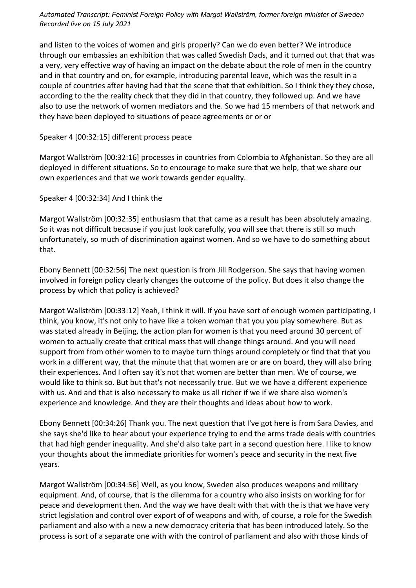and listen to the voices of women and girls properly? Can we do even better? We introduce through our embassies an exhibition that was called Swedish Dads, and it turned out that that was a very, very effective way of having an impact on the debate about the role of men in the country and in that country and on, for example, introducing parental leave, which was the result in a couple of countries after having had that the scene that that exhibition. So I think they they chose, according to the the reality check that they did in that country, they followed up. And we have also to use the network of women mediators and the. So we had 15 members of that network and they have been deployed to situations of peace agreements or or or

### Speaker 4 [00:32:15] different process peace

Margot Wallström [00:32:16] processes in countries from Colombia to Afghanistan. So they are all deployed in different situations. So to encourage to make sure that we help, that we share our own experiences and that we work towards gender equality.

# Speaker 4 [00:32:34] And I think the

Margot Wallström [00:32:35] enthusiasm that that came as a result has been absolutely amazing. So it was not difficult because if you just look carefully, you will see that there is still so much unfortunately, so much of discrimination against women. And so we have to do something about that.

Ebony Bennett [00:32:56] The next question is from Jill Rodgerson. She says that having women involved in foreign policy clearly changes the outcome of the policy. But does it also change the process by which that policy is achieved?

Margot Wallström [00:33:12] Yeah, I think it will. If you have sort of enough women participating, I think, you know, it's not only to have like a token woman that you you play somewhere. But as was stated already in Beijing, the action plan for women is that you need around 30 percent of women to actually create that critical mass that will change things around. And you will need support from from other women to to maybe turn things around completely or find that that you work in a different way, that the minute that that women are or are on board, they will also bring their experiences. And I often say it's not that women are better than men. We of course, we would like to think so. But but that's not necessarily true. But we we have a different experience with us. And and that is also necessary to make us all richer if we if we share also women's experience and knowledge. And they are their thoughts and ideas about how to work.

Ebony Bennett [00:34:26] Thank you. The next question that I've got here is from Sara Davies, and she says she'd like to hear about your experience trying to end the arms trade deals with countries that had high gender inequality. And she'd also take part in a second question here. I like to know your thoughts about the immediate priorities for women's peace and security in the next five years.

Margot Wallström [00:34:56] Well, as you know, Sweden also produces weapons and military equipment. And, of course, that is the dilemma for a country who also insists on working for for peace and development then. And the way we have dealt with that with the is that we have very strict legislation and control over export of of weapons and with, of course, a role for the Swedish parliament and also with a new a new democracy criteria that has been introduced lately. So the process is sort of a separate one with with the control of parliament and also with those kinds of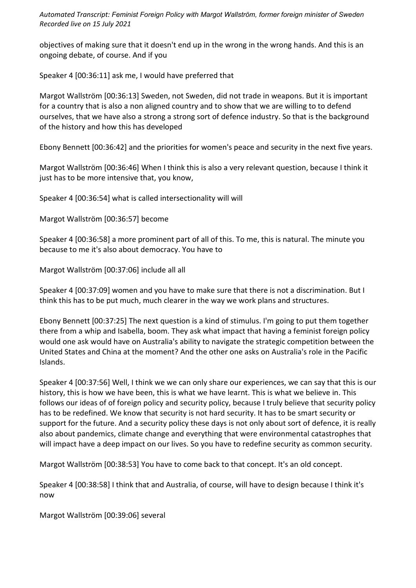objectives of making sure that it doesn't end up in the wrong in the wrong hands. And this is an ongoing debate, of course. And if you

Speaker 4 [00:36:11] ask me, I would have preferred that

Margot Wallström [00:36:13] Sweden, not Sweden, did not trade in weapons. But it is important for a country that is also a non aligned country and to show that we are willing to to defend ourselves, that we have also a strong a strong sort of defence industry. So that is the background of the history and how this has developed

Ebony Bennett [00:36:42] and the priorities for women's peace and security in the next five years.

Margot Wallström [00:36:46] When I think this is also a very relevant question, because I think it just has to be more intensive that, you know,

Speaker 4 [00:36:54] what is called intersectionality will will

Margot Wallström [00:36:57] become

Speaker 4 [00:36:58] a more prominent part of all of this. To me, this is natural. The minute you because to me it's also about democracy. You have to

Margot Wallström [00:37:06] include all all

Speaker 4 [00:37:09] women and you have to make sure that there is not a discrimination. But I think this has to be put much, much clearer in the way we work plans and structures.

Ebony Bennett [00:37:25] The next question is a kind of stimulus. I'm going to put them together there from a whip and Isabella, boom. They ask what impact that having a feminist foreign policy would one ask would have on Australia's ability to navigate the strategic competition between the United States and China at the moment? And the other one asks on Australia's role in the Pacific Islands.

Speaker 4 [00:37:56] Well, I think we we can only share our experiences, we can say that this is our history, this is how we have been, this is what we have learnt. This is what we believe in. This follows our ideas of of foreign policy and security policy, because I truly believe that security policy has to be redefined. We know that security is not hard security. It has to be smart security or support for the future. And a security policy these days is not only about sort of defence, it is really also about pandemics, climate change and everything that were environmental catastrophes that will impact have a deep impact on our lives. So you have to redefine security as common security.

Margot Wallström [00:38:53] You have to come back to that concept. It's an old concept.

Speaker 4 [00:38:58] I think that and Australia, of course, will have to design because I think it's now

Margot Wallström [00:39:06] several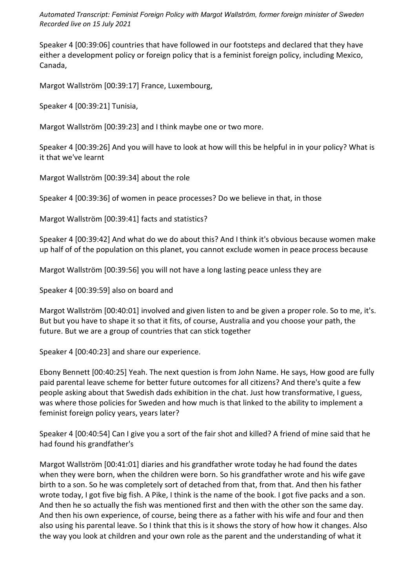Speaker 4 [00:39:06] countries that have followed in our footsteps and declared that they have either a development policy or foreign policy that is a feminist foreign policy, including Mexico, Canada,

Margot Wallström [00:39:17] France, Luxembourg,

Speaker 4 [00:39:21] Tunisia,

Margot Wallström [00:39:23] and I think maybe one or two more.

Speaker 4 [00:39:26] And you will have to look at how will this be helpful in in your policy? What is it that we've learnt

Margot Wallström [00:39:34] about the role

Speaker 4 [00:39:36] of women in peace processes? Do we believe in that, in those

Margot Wallström [00:39:41] facts and statistics?

Speaker 4 [00:39:42] And what do we do about this? And I think it's obvious because women make up half of of the population on this planet, you cannot exclude women in peace process because

Margot Wallström [00:39:56] you will not have a long lasting peace unless they are

Speaker 4 [00:39:59] also on board and

Margot Wallström [00:40:01] involved and given listen to and be given a proper role. So to me, it's. But but you have to shape it so that it fits, of course, Australia and you choose your path, the future. But we are a group of countries that can stick together

Speaker 4 [00:40:23] and share our experience.

Ebony Bennett [00:40:25] Yeah. The next question is from John Name. He says, How good are fully paid parental leave scheme for better future outcomes for all citizens? And there's quite a few people asking about that Swedish dads exhibition in the chat. Just how transformative, I guess, was where those policies for Sweden and how much is that linked to the ability to implement a feminist foreign policy years, years later?

Speaker 4 [00:40:54] Can I give you a sort of the fair shot and killed? A friend of mine said that he had found his grandfather's

Margot Wallström [00:41:01] diaries and his grandfather wrote today he had found the dates when they were born, when the children were born. So his grandfather wrote and his wife gave birth to a son. So he was completely sort of detached from that, from that. And then his father wrote today, I got five big fish. A Pike, I think is the name of the book. I got five packs and a son. And then he so actually the fish was mentioned first and then with the other son the same day. And then his own experience, of course, being there as a father with his wife and four and then also using his parental leave. So I think that this is it shows the story of how how it changes. Also the way you look at children and your own role as the parent and the understanding of what it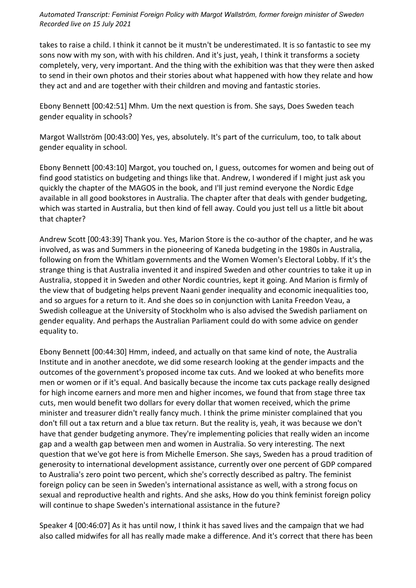takes to raise a child. I think it cannot be it mustn't be underestimated. It is so fantastic to see my sons now with my son, with with his children. And it's just, yeah, I think it transforms a society completely, very, very important. And the thing with the exhibition was that they were then asked to send in their own photos and their stories about what happened with how they relate and how they act and and are together with their children and moving and fantastic stories.

Ebony Bennett [00:42:51] Mhm. Um the next question is from. She says, Does Sweden teach gender equality in schools?

Margot Wallström [00:43:00] Yes, yes, absolutely. It's part of the curriculum, too, to talk about gender equality in school.

Ebony Bennett [00:43:10] Margot, you touched on, I guess, outcomes for women and being out of find good statistics on budgeting and things like that. Andrew, I wondered if I might just ask you quickly the chapter of the MAGOS in the book, and I'll just remind everyone the Nordic Edge available in all good bookstores in Australia. The chapter after that deals with gender budgeting, which was started in Australia, but then kind of fell away. Could you just tell us a little bit about that chapter?

Andrew Scott [00:43:39] Thank you. Yes, Marion Store is the co-author of the chapter, and he was involved, as was and Summers in the pioneering of Kaneda budgeting in the 1980s in Australia, following on from the Whitlam governments and the Women Women's Electoral Lobby. If it's the strange thing is that Australia invented it and inspired Sweden and other countries to take it up in Australia, stopped it in Sweden and other Nordic countries, kept it going. And Marion is firmly of the view that of budgeting helps prevent Naani gender inequality and economic inequalities too, and so argues for a return to it. And she does so in conjunction with Lanita Freedon Veau, a Swedish colleague at the University of Stockholm who is also advised the Swedish parliament on gender equality. And perhaps the Australian Parliament could do with some advice on gender equality to.

Ebony Bennett [00:44:30] Hmm, indeed, and actually on that same kind of note, the Australia Institute and in another anecdote, we did some research looking at the gender impacts and the outcomes of the government's proposed income tax cuts. And we looked at who benefits more men or women or if it's equal. And basically because the income tax cuts package really designed for high income earners and more men and higher incomes, we found that from stage three tax cuts, men would benefit two dollars for every dollar that women received, which the prime minister and treasurer didn't really fancy much. I think the prime minister complained that you don't fill out a tax return and a blue tax return. But the reality is, yeah, it was because we don't have that gender budgeting anymore. They're implementing policies that really widen an income gap and a wealth gap between men and women in Australia. So very interesting. The next question that we've got here is from Michelle Emerson. She says, Sweden has a proud tradition of generosity to international development assistance, currently over one percent of GDP compared to Australia's zero point two percent, which she's correctly described as paltry. The feminist foreign policy can be seen in Sweden's international assistance as well, with a strong focus on sexual and reproductive health and rights. And she asks, How do you think feminist foreign policy will continue to shape Sweden's international assistance in the future?

Speaker 4 [00:46:07] As it has until now, I think it has saved lives and the campaign that we had also called midwifes for all has really made make a difference. And it's correct that there has been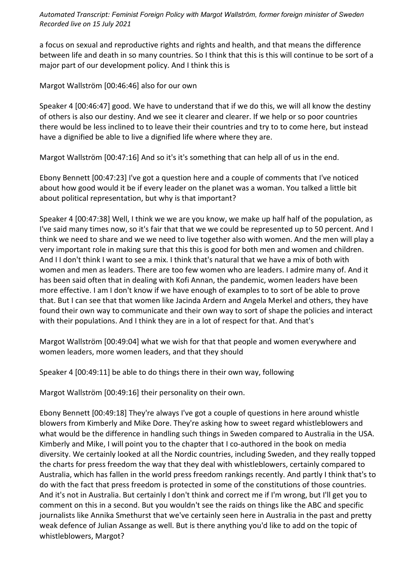a focus on sexual and reproductive rights and rights and health, and that means the difference between life and death in so many countries. So I think that this is this will continue to be sort of a major part of our development policy. And I think this is

Margot Wallström [00:46:46] also for our own

Speaker 4 [00:46:47] good. We have to understand that if we do this, we will all know the destiny of others is also our destiny. And we see it clearer and clearer. If we help or so poor countries there would be less inclined to to leave their their countries and try to to come here, but instead have a dignified be able to live a dignified life where where they are.

Margot Wallström [00:47:16] And so it's it's something that can help all of us in the end.

Ebony Bennett [00:47:23] I've got a question here and a couple of comments that I've noticed about how good would it be if every leader on the planet was a woman. You talked a little bit about political representation, but why is that important?

Speaker 4 [00:47:38] Well, I think we we are you know, we make up half half of the population, as I've said many times now, so it's fair that that we we could be represented up to 50 percent. And I think we need to share and we we need to live together also with women. And the men will play a very important role in making sure that this this is good for both men and women and children. And I I don't think I want to see a mix. I think that's natural that we have a mix of both with women and men as leaders. There are too few women who are leaders. I admire many of. And it has been said often that in dealing with Kofi Annan, the pandemic, women leaders have been more effective. I am I don't know if we have enough of examples to to sort of be able to prove that. But I can see that that women like Jacinda Ardern and Angela Merkel and others, they have found their own way to communicate and their own way to sort of shape the policies and interact with their populations. And I think they are in a lot of respect for that. And that's

Margot Wallström [00:49:04] what we wish for that that people and women everywhere and women leaders, more women leaders, and that they should

Speaker 4 [00:49:11] be able to do things there in their own way, following

Margot Wallström [00:49:16] their personality on their own.

Ebony Bennett [00:49:18] They're always I've got a couple of questions in here around whistle blowers from Kimberly and Mike Dore. They're asking how to sweet regard whistleblowers and what would be the difference in handling such things in Sweden compared to Australia in the USA. Kimberly and Mike, I will point you to the chapter that I co-authored in the book on media diversity. We certainly looked at all the Nordic countries, including Sweden, and they really topped the charts for press freedom the way that they deal with whistleblowers, certainly compared to Australia, which has fallen in the world press freedom rankings recently. And partly I think that's to do with the fact that press freedom is protected in some of the constitutions of those countries. And it's not in Australia. But certainly I don't think and correct me if I'm wrong, but I'll get you to comment on this in a second. But you wouldn't see the raids on things like the ABC and specific journalists like Annika Smethurst that we've certainly seen here in Australia in the past and pretty weak defence of Julian Assange as well. But is there anything you'd like to add on the topic of whistleblowers, Margot?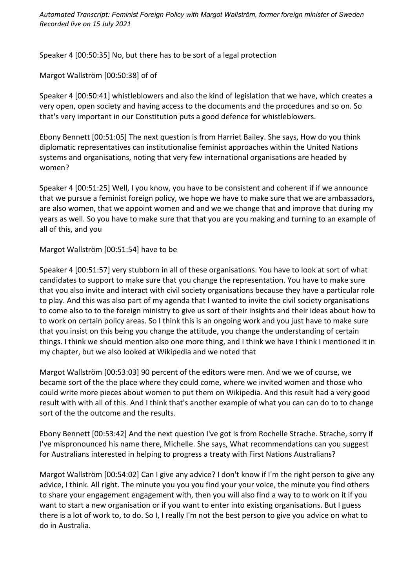Speaker 4 [00:50:35] No, but there has to be sort of a legal protection

Margot Wallström [00:50:38] of of

Speaker 4 [00:50:41] whistleblowers and also the kind of legislation that we have, which creates a very open, open society and having access to the documents and the procedures and so on. So that's very important in our Constitution puts a good defence for whistleblowers.

Ebony Bennett [00:51:05] The next question is from Harriet Bailey. She says, How do you think diplomatic representatives can institutionalise feminist approaches within the United Nations systems and organisations, noting that very few international organisations are headed by women?

Speaker 4 [00:51:25] Well, I you know, you have to be consistent and coherent if if we announce that we pursue a feminist foreign policy, we hope we have to make sure that we are ambassadors, are also women, that we appoint women and and we we change that and improve that during my years as well. So you have to make sure that that you are you making and turning to an example of all of this, and you

# Margot Wallström [00:51:54] have to be

Speaker 4 [00:51:57] very stubborn in all of these organisations. You have to look at sort of what candidates to support to make sure that you change the representation. You have to make sure that you also invite and interact with civil society organisations because they have a particular role to play. And this was also part of my agenda that I wanted to invite the civil society organisations to come also to to the foreign ministry to give us sort of their insights and their ideas about how to to work on certain policy areas. So I think this is an ongoing work and you just have to make sure that you insist on this being you change the attitude, you change the understanding of certain things. I think we should mention also one more thing, and I think we have I think I mentioned it in my chapter, but we also looked at Wikipedia and we noted that

Margot Wallström [00:53:03] 90 percent of the editors were men. And we we of course, we became sort of the the place where they could come, where we invited women and those who could write more pieces about women to put them on Wikipedia. And this result had a very good result with with all of this. And I think that's another example of what you can can do to to change sort of the the outcome and the results.

Ebony Bennett [00:53:42] And the next question I've got is from Rochelle Strache. Strache, sorry if I've mispronounced his name there, Michelle. She says, What recommendations can you suggest for Australians interested in helping to progress a treaty with First Nations Australians?

Margot Wallström [00:54:02] Can I give any advice? I don't know if I'm the right person to give any advice, I think. All right. The minute you you you find your your voice, the minute you find others to share your engagement engagement with, then you will also find a way to to work on it if you want to start a new organisation or if you want to enter into existing organisations. But I guess there is a lot of work to, to do. So I, I really I'm not the best person to give you advice on what to do in Australia.